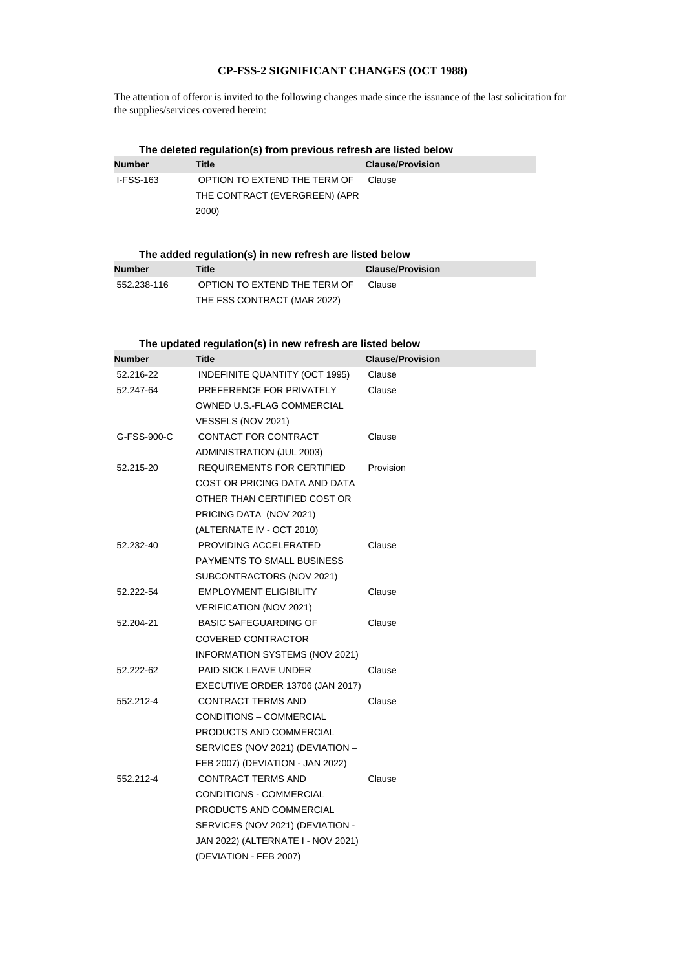## **CP-FSS-2 SIGNIFICANT CHANGES (OCT 1988)**

The attention of offeror is invited to the following changes made since the issuance of the last solicitation for the supplies/services covered herein:

| The deleted regulation(s) from previous refresh are listed below |                               |                         |  |
|------------------------------------------------------------------|-------------------------------|-------------------------|--|
| <b>Number</b>                                                    | Title                         | <b>Clause/Provision</b> |  |
| I-FSS-163                                                        | OPTION TO EXTEND THE TERM OF  | Clause                  |  |
|                                                                  | THE CONTRACT (EVERGREEN) (APR |                         |  |
|                                                                  | 2000)                         |                         |  |

| The added regulation(s) in new refresh are listed below |                              |                         |  |
|---------------------------------------------------------|------------------------------|-------------------------|--|
| Number                                                  | Title                        | <b>Clause/Provision</b> |  |
| 552.238-116                                             | OPTION TO EXTEND THE TERM OF | Clause                  |  |
|                                                         | THE FSS CONTRACT (MAR 2022)  |                         |  |

## **The updated regulation(s) in new refresh are listed below**

| <b>Number</b> | <b>Title</b>                       | <b>Clause/Provision</b> |
|---------------|------------------------------------|-------------------------|
| 52.216-22     | INDEFINITE QUANTITY (OCT 1995)     | Clause                  |
| 52.247-64     | PREFERENCE FOR PRIVATELY           | Clause                  |
|               | OWNED U.S.-FLAG COMMERCIAL         |                         |
|               | VESSELS (NOV 2021)                 |                         |
| G-FSS-900-C   | CONTACT FOR CONTRACT               | Clause                  |
|               | ADMINISTRATION (JUL 2003)          |                         |
| 52.215-20     | <b>REQUIREMENTS FOR CERTIFIED</b>  | Provision               |
|               | COST OR PRICING DATA AND DATA      |                         |
|               | OTHER THAN CERTIFIED COST OR       |                         |
|               | PRICING DATA (NOV 2021)            |                         |
|               | (ALTERNATE IV - OCT 2010)          |                         |
| 52.232-40     | PROVIDING ACCELERATED              | Clause                  |
|               | PAYMENTS TO SMALL BUSINESS         |                         |
|               | SUBCONTRACTORS (NOV 2021)          |                         |
| 52.222-54     | <b>EMPLOYMENT ELIGIBILITY</b>      | Clause                  |
|               | VERIFICATION (NOV 2021)            |                         |
| 52.204-21     | <b>BASIC SAFEGUARDING OF</b>       | Clause                  |
|               | <b>COVERED CONTRACTOR</b>          |                         |
|               | INFORMATION SYSTEMS (NOV 2021)     |                         |
| 52.222-62     | <b>PAID SICK LEAVE UNDER</b>       | Clause                  |
|               | EXECUTIVE ORDER 13706 (JAN 2017)   |                         |
| 552.212-4     | <b>CONTRACT TERMS AND</b>          | Clause                  |
|               | CONDITIONS - COMMERCIAL            |                         |
|               | PRODUCTS AND COMMERCIAL            |                         |
|               | SERVICES (NOV 2021) (DEVIATION -   |                         |
|               | FEB 2007) (DEVIATION - JAN 2022)   |                         |
| 552.212-4     | <b>CONTRACT TERMS AND</b>          | Clause                  |
|               | CONDITIONS - COMMERCIAL            |                         |
|               | PRODUCTS AND COMMERCIAL            |                         |
|               | SERVICES (NOV 2021) (DEVIATION -   |                         |
|               | JAN 2022) (ALTERNATE I - NOV 2021) |                         |
|               | (DEVIATION - FEB 2007)             |                         |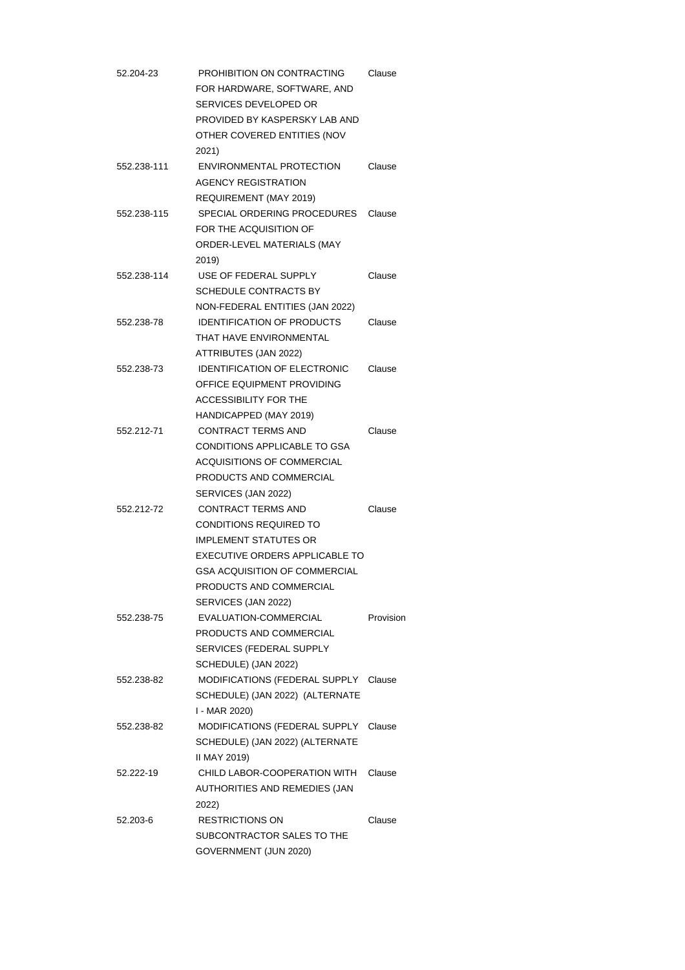| 52.204-23   | PROHIBITION ON CONTRACTING<br>FOR HARDWARE, SOFTWARE, AND | Clause    |
|-------------|-----------------------------------------------------------|-----------|
|             | SERVICES DEVELOPED OR                                     |           |
|             | PROVIDED BY KASPERSKY LAB AND                             |           |
|             | OTHER COVERED ENTITIES (NOV                               |           |
|             | 2021)                                                     |           |
| 552.238-111 | ENVIRONMENTAL PROTECTION                                  | Clause    |
|             | <b>AGENCY REGISTRATION</b>                                |           |
|             | REQUIREMENT (MAY 2019)                                    |           |
| 552.238-115 | SPECIAL ORDERING PROCEDURES                               | Clause    |
|             | FOR THE ACQUISITION OF                                    |           |
|             | ORDER-LEVEL MATERIALS (MAY                                |           |
|             | 2019)                                                     |           |
| 552.238-114 | USE OF FEDERAL SUPPLY                                     | Clause    |
|             | <b>SCHEDULE CONTRACTS BY</b>                              |           |
|             | NON-FEDERAL ENTITIES (JAN 2022)                           |           |
| 552.238-78  | <b>IDENTIFICATION OF PRODUCTS</b>                         | Clause    |
|             | THAT HAVE ENVIRONMENTAL                                   |           |
|             | ATTRIBUTES (JAN 2022)                                     |           |
| 552.238-73  | <b>IDENTIFICATION OF ELECTRONIC</b>                       | Clause    |
|             | OFFICE EQUIPMENT PROVIDING                                |           |
|             | ACCESSIBILITY FOR THE                                     |           |
|             |                                                           |           |
|             | HANDICAPPED (MAY 2019)                                    |           |
| 552.212-71  | <b>CONTRACT TERMS AND</b>                                 | Clause    |
|             | CONDITIONS APPLICABLE TO GSA                              |           |
|             | ACQUISITIONS OF COMMERCIAL                                |           |
|             | PRODUCTS AND COMMERCIAL                                   |           |
|             | SERVICES (JAN 2022)                                       |           |
| 552.212-72  | <b>CONTRACT TERMS AND</b>                                 | Clause    |
|             | CONDITIONS REQUIRED TO                                    |           |
|             | <b>IMPLEMENT STATUTES OR</b>                              |           |
|             | EXECUTIVE ORDERS APPLICABLE TO                            |           |
|             | <b>GSA ACQUISITION OF COMMERCIAL</b>                      |           |
|             | PRODUCTS AND COMMERCIAL                                   |           |
|             | SERVICES (JAN 2022)                                       |           |
| 552.238-75  | EVALUATION-COMMERCIAL                                     | Provision |
|             | PRODUCTS AND COMMERCIAL                                   |           |
|             | SERVICES (FEDERAL SUPPLY                                  |           |
|             | SCHEDULE) (JAN 2022)                                      |           |
| 552.238-82  | MODIFICATIONS (FEDERAL SUPPLY                             | Clause    |
|             | SCHEDULE) (JAN 2022) (ALTERNATE                           |           |
|             | I - MAR 2020)                                             |           |
| 552.238-82  | MODIFICATIONS (FEDERAL SUPPLY                             | Clause    |
|             | SCHEDULE) (JAN 2022) (ALTERNATE                           |           |
|             | II MAY 2019)                                              |           |
| 52.222-19   | CHILD LABOR-COOPERATION WITH                              | Clause    |
|             | AUTHORITIES AND REMEDIES (JAN                             |           |
|             | 2022)                                                     |           |
| 52.203-6    | <b>RESTRICTIONS ON</b>                                    | Clause    |
|             | SUBCONTRACTOR SALES TO THE                                |           |
|             | GOVERNMENT (JUN 2020)                                     |           |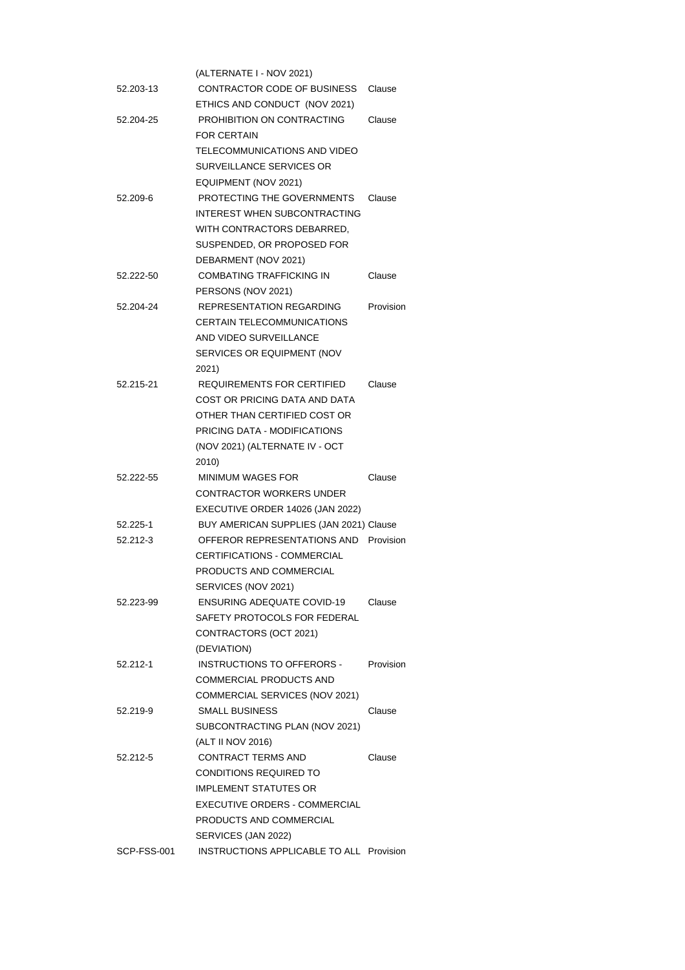|             | (ALTERNATE I - NOV 2021)                                        |           |
|-------------|-----------------------------------------------------------------|-----------|
| 52.203-13   | CONTRACTOR CODE OF BUSINESS                                     | Clause    |
|             | ETHICS AND CONDUCT (NOV 2021)                                   |           |
| 52.204-25   | PROHIBITION ON CONTRACTING                                      | Clause    |
|             | <b>FOR CERTAIN</b>                                              |           |
|             | TELECOMMUNICATIONS AND VIDEO                                    |           |
|             | SURVEILLANCE SERVICES OR                                        |           |
|             | EQUIPMENT (NOV 2021)                                            |           |
| 52.209-6    | PROTECTING THE GOVERNMENTS                                      | Clause    |
|             | INTEREST WHEN SUBCONTRACTING                                    |           |
|             | WITH CONTRACTORS DEBARRED.                                      |           |
|             | SUSPENDED, OR PROPOSED FOR                                      |           |
|             | DEBARMENT (NOV 2021)                                            |           |
| 52.222-50   | <b>COMBATING TRAFFICKING IN</b>                                 | Clause    |
|             | PERSONS (NOV 2021)                                              |           |
| 52.204-24   | <b>REPRESENTATION REGARDING</b>                                 | Provision |
|             | <b>CERTAIN TELECOMMUNICATIONS</b>                               |           |
|             | AND VIDEO SURVEILLANCE                                          |           |
|             | SERVICES OR EQUIPMENT (NOV                                      |           |
|             | 2021)                                                           |           |
| 52.215-21   | REQUIREMENTS FOR CERTIFIED                                      | Clause    |
|             | COST OR PRICING DATA AND DATA                                   |           |
|             | OTHER THAN CERTIFIED COST OR                                    |           |
|             | PRICING DATA - MODIFICATIONS                                    |           |
|             | (NOV 2021) (ALTERNATE IV - OCT                                  |           |
|             | 2010)                                                           |           |
|             |                                                                 |           |
|             |                                                                 |           |
| 52.222-55   | <b>MINIMUM WAGES FOR</b>                                        | Clause    |
|             | CONTRACTOR WORKERS UNDER                                        |           |
|             | EXECUTIVE ORDER 14026 (JAN 2022)                                |           |
| 52.225-1    | BUY AMERICAN SUPPLIES (JAN 2021) Clause                         |           |
| 52.212-3    | OFFEROR REPRESENTATIONS AND Provision                           |           |
|             | CERTIFICATIONS - COMMERCIAL                                     |           |
|             | PRODUCTS AND COMMERCIAL                                         |           |
|             | SERVICES (NOV 2021)                                             |           |
| 52.223-99   | <b>ENSURING ADEQUATE COVID-19</b>                               | Clause    |
|             | SAFETY PROTOCOLS FOR FEDERAL                                    |           |
|             | CONTRACTORS (OCT 2021)                                          |           |
|             | (DEVIATION)                                                     |           |
| 52.212-1    | <b>INSTRUCTIONS TO OFFERORS -</b>                               | Provision |
|             | COMMERCIAL PRODUCTS AND                                         |           |
|             | COMMERCIAL SERVICES (NOV 2021)                                  |           |
| 52.219-9    | <b>SMALL BUSINESS</b>                                           | Clause    |
|             | SUBCONTRACTING PLAN (NOV 2021)                                  |           |
|             | (ALT II NOV 2016)                                               |           |
| 52.212-5    | CONTRACT TERMS AND                                              | Clause    |
|             | CONDITIONS REQUIRED TO                                          |           |
|             | IMPLEMENT STATUTES OR                                           |           |
|             | EXECUTIVE ORDERS - COMMERCIAL                                   |           |
|             | PRODUCTS AND COMMERCIAL                                         |           |
| SCP-FSS-001 | SERVICES (JAN 2022)<br>INSTRUCTIONS APPLICABLE TO ALL Provision |           |